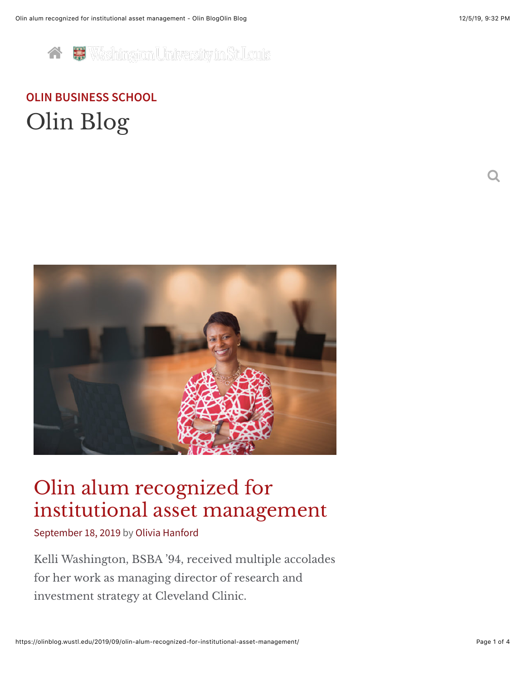

# **[OLIN BUSINESS SCHOOL](http://olin.wustl.edu/)** [Olin Blog](https://olinblog.wustl.edu/)



# Olin alum recognized for institutional asset management

[September 18, 2019](https://olinblog.wustl.edu/2019/09/olin-alum-recognized-for-institutional-asset-management/) by [Olivia Hanford](https://olinblog.wustl.edu/author/olivia-hanford/)

Kelli Washington, BSBA '94, received multiple accolades for her work as managing director of research and investment strategy at Cleveland Clinic.

 $\bf O$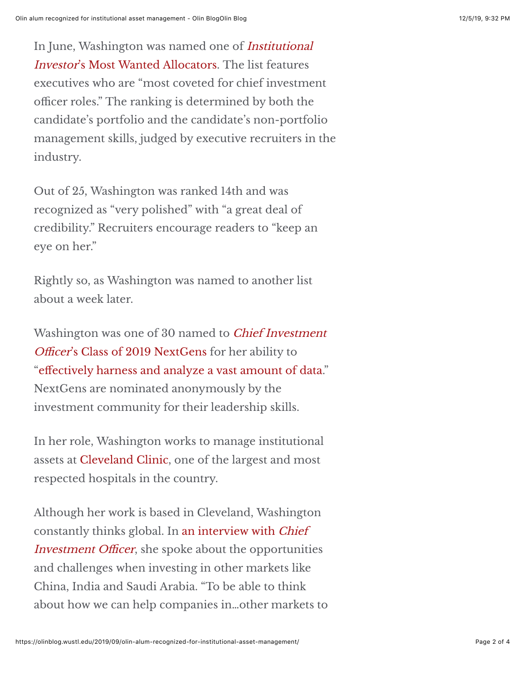In June, Washington was named one of Institutional Investor['s Most Wanted Allocators. The list features](https://www.institutionalinvestor.com/article/b1fn8dfxl9xzx8/II-s-Most-Wanted-Allocators-First-Team) executives who are "most coveted for chief investment officer roles." The ranking is determined by both the candidate's portfolio and the candidate's non-portfolio management skills, judged by executive recruiters in the industry.

Out of 25, Washington was ranked 14th and was recognized as "very polished" with "a great deal of credibility." Recruiters encourage readers to "keep an eye on her."

Rightly so, as Washington was named to another list about a week later.

Washington was one of 30 named to Chief Investment Officer['s Class of 2019 NextGens for her ability to](https://www.ai-cio.com/lists/2019-nextgen/) "eff[ectively harness and analyze a vast amount of data](https://www.ai-cio.com/lists/2019-nextgen/?pid=43242)." NextGens are nominated anonymously by the investment community for their leadership skills.

In her role, Washington works to manage institutional assets at [Cleveland Clinic](https://my.clevelandclinic.org/about), one of the largest and most respected hospitals in the country.

Although her work is based in Cleveland, Washington [constantly thinks global. In an interview with](https://www.ai-cio.com/lists/2019-nextgen/?pid=43242) Chief Investment Officer, she spoke about the opportunities and challenges when investing in other markets like China, India and Saudi Arabia. "To be able to think about how we can help companies in…other markets to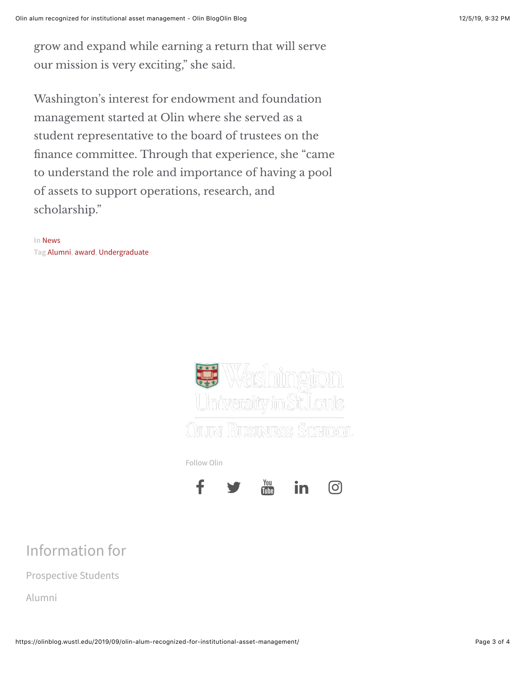grow and expand while earning a return that will serve our mission is very exciting," she said.

Washington's interest for endowment and foundation management started at Olin where she served as a student representative to the board of trustees on the finance committee. Through that experience, she "came to understand the role and importance of having a pool of assets to support operations, research, and scholarship."

**In** [News](https://olinblog.wustl.edu/category/news/) **Tag** [Alumni,](https://olinblog.wustl.edu/tag/alumni/) [award,](https://olinblog.wustl.edu/tag/award/) [Undergraduate](https://olinblog.wustl.edu/tag/undergraduate/)





## Information for

[Prospective Students](https://olin.wustl.edu/EN-US/academic-programs/Pages/default.aspx)

[Alumni](https://olin.wustl.edu/EN-US/alumni/Pages/default.aspx)